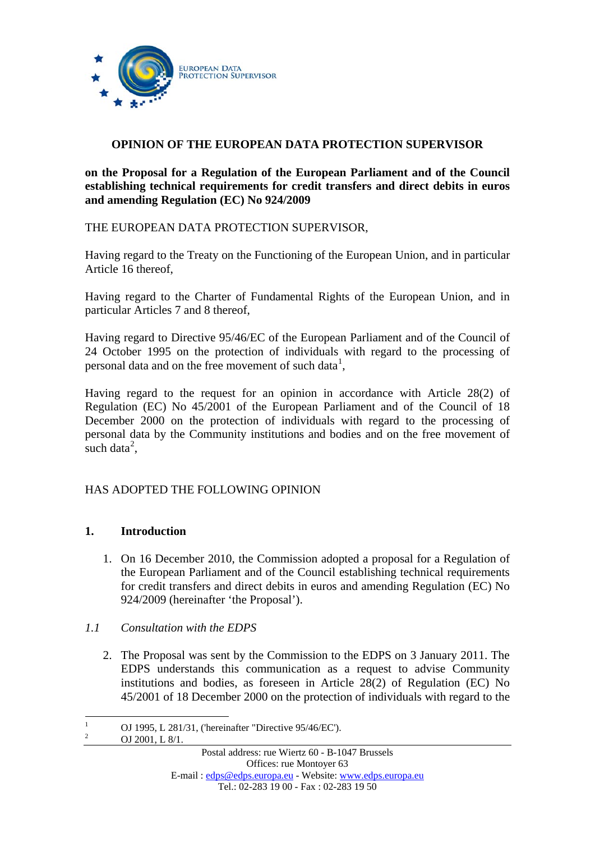

## **OPINION OF THE EUROPEAN DATA PROTECTION SUPERVISOR**

#### **on the Proposal for a Regulation of the European Parliament and of the Council establishing technical requirements for credit transfers and direct debits in euros and amending Regulation (EC) No 924/2009**

THE EUROPEAN DATA PROTECTION SUPERVISOR,

Having regard to the Treaty on the Functioning of the European Union, and in particular Article 16 thereof,

Having regard to the Charter of Fundamental Rights of the European Union, and in particular Articles 7 and 8 thereof,

Having regard to Directive 95/46/EC of the European Parliament and of the Council of 24 October 1995 on the protection of individuals with regard to the processing of personal data and on the free movement of such data<sup>[1](#page-0-0)</sup>,

Having regard to the request for an opinion in accordance with Article 28(2) of Regulation (EC) No 45/2001 of the European Parliament and of the Council of 18 December 2000 on the protection of individuals with regard to the processing of personal data by the Community institutions and bodies and on the free movement of such data<sup>[2](#page-0-1)</sup>,

## HAS ADOPTED THE FOLLOWING OPINION

## **1. Introduction**

1. On 16 December 2010, the Commission adopted a proposal for a Regulation of the European Parliament and of the Council establishing technical requirements for credit transfers and direct debits in euros and amending Regulation (EC) No 924/2009 (hereinafter 'the Proposal').

## *1.1 Consultation with the EDPS*

2. The Proposal was sent by the Commission to the EDPS on 3 January 2011. The EDPS understands this communication as a request to advise Community institutions and bodies, as foreseen in Article 28(2) of Regulation (EC) No 45/2001 of 18 December 2000 on the protection of individuals with regard to the

 $\frac{1}{1}$ OJ 1995, L 281/31, ('hereinafter "Directive 95/46/EC').

<span id="page-0-1"></span><span id="page-0-0"></span><sup>2</sup> OJ 2001, L 8/1.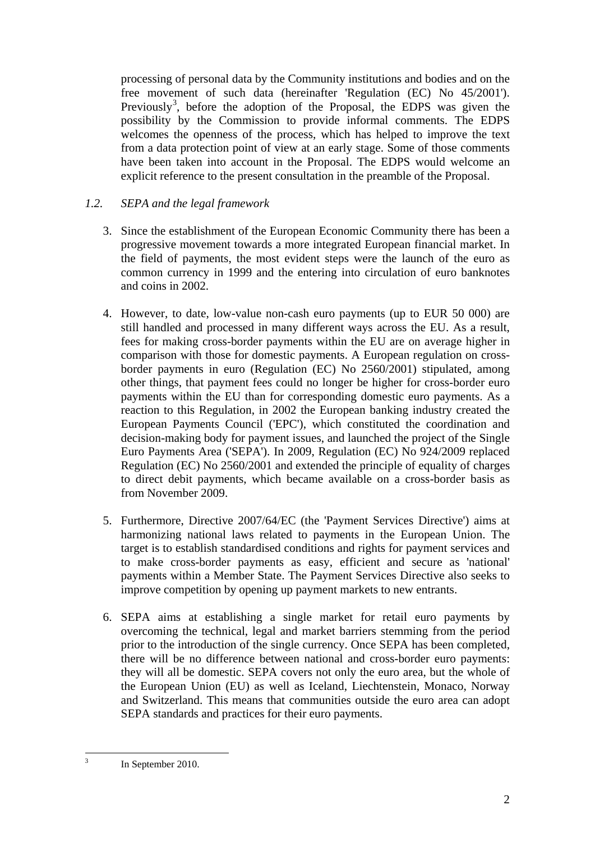processing of personal data by the Community institutions and bodies and on the free movement of such data (hereinafter 'Regulation (EC) No 45/2001'). Previously<sup>[3](#page-1-0)</sup>, before the adoption of the Proposal, the EDPS was given the possibility by the Commission to provide informal comments. The EDPS welcomes the openness of the process, which has helped to improve the text from a data protection point of view at an early stage. Some of those comments have been taken into account in the Proposal. The EDPS would welcome an explicit reference to the present consultation in the preamble of the Proposal.

# *1.2. SEPA and the legal framework*

- 3. Since the establishment of the European Economic Community there has been a progressive movement towards a more integrated European financial market. In the field of payments, the most evident steps were the launch of the euro as common currency in 1999 and the entering into circulation of euro banknotes and coins in 2002.
- 4. However, to date, low-value non-cash euro payments (up to EUR 50 000) are still handled and processed in many different ways across the EU. As a result, fees for making cross-border payments within the EU are on average higher in comparison with those for domestic payments. A European regulation on crossborder payments in euro (Regulation (EC) No 2560/2001) stipulated, among other things, that payment fees could no longer be higher for cross-border euro payments within the EU than for corresponding domestic euro payments. As a reaction to this Regulation, in 2002 the European banking industry created the European Payments Council ('EPC'), which constituted the coordination and decision-making body for payment issues, and launched the project of the Single Euro Payments Area ('SEPA'). In 2009, Regulation (EC) No 924/2009 replaced Regulation (EC) No 2560/2001 and extended the principle of equality of charges to direct debit payments, which became available on a cross-border basis as from November 2009.
- 5. Furthermore, Directive 2007/64/EC (the 'Payment Services Directive') aims at harmonizing national laws related to payments in the European Union. The target is to establish standardised conditions and rights for payment services and to make cross-border payments as easy, efficient and secure as 'national' payments within a Member State. The Payment Services Directive also seeks to improve competition by opening up payment markets to new entrants.
- 6. SEPA aims at establishing a single market for retail euro payments by overcoming the technical, legal and market barriers stemming from the period prior to the introduction of the single currency. Once SEPA has been completed, there will be no difference between national and cross-border euro payments: they will all be domestic. SEPA covers not only the euro area, but the whole of the European Union (EU) as well as Iceland, Liechtenstein, Monaco, Norway and Switzerland. This means that communities outside the euro area can adopt SEPA standards and practices for their euro payments.

<span id="page-1-0"></span>1 3

In September 2010.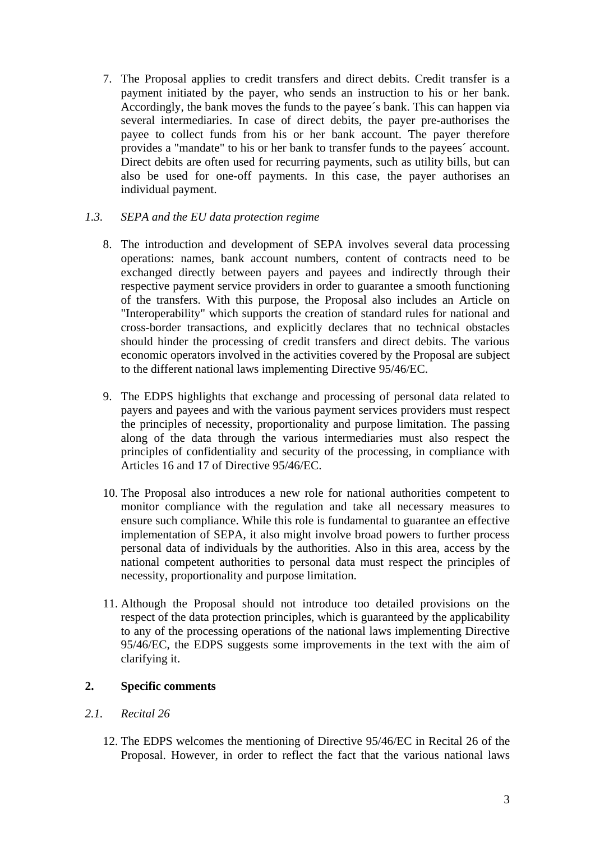7. The Proposal applies to credit transfers and direct debits. Credit transfer is a payment initiated by the payer, who sends an instruction to his or her bank. Accordingly, the bank moves the funds to the payee´s bank. This can happen via several intermediaries. In case of direct debits, the payer pre-authorises the payee to collect funds from his or her bank account. The payer therefore provides a "mandate" to his or her bank to transfer funds to the payees´ account. Direct debits are often used for recurring payments, such as utility bills, but can also be used for one-off payments. In this case, the payer authorises an individual payment.

## *1.3. SEPA and the EU data protection regime*

- 8. The introduction and development of SEPA involves several data processing operations: names, bank account numbers, content of contracts need to be exchanged directly between payers and payees and indirectly through their respective payment service providers in order to guarantee a smooth functioning of the transfers. With this purpose, the Proposal also includes an Article on "Interoperability" which supports the creation of standard rules for national and cross-border transactions, and explicitly declares that no technical obstacles should hinder the processing of credit transfers and direct debits. The various economic operators involved in the activities covered by the Proposal are subject to the different national laws implementing Directive 95/46/EC.
- 9. The EDPS highlights that exchange and processing of personal data related to payers and payees and with the various payment services providers must respect the principles of necessity, proportionality and purpose limitation. The passing along of the data through the various intermediaries must also respect the principles of confidentiality and security of the processing, in compliance with Articles 16 and 17 of Directive 95/46/EC.
- 10. The Proposal also introduces a new role for national authorities competent to monitor compliance with the regulation and take all necessary measures to ensure such compliance. While this role is fundamental to guarantee an effective implementation of SEPA, it also might involve broad powers to further process personal data of individuals by the authorities. Also in this area, access by the national competent authorities to personal data must respect the principles of necessity, proportionality and purpose limitation.
- 11. Although the Proposal should not introduce too detailed provisions on the respect of the data protection principles, which is guaranteed by the applicability to any of the processing operations of the national laws implementing Directive 95/46/EC, the EDPS suggests some improvements in the text with the aim of clarifying it.

## **2. Specific comments**

## *2.1. Recital 26*

12. The EDPS welcomes the mentioning of Directive 95/46/EC in Recital 26 of the Proposal. However, in order to reflect the fact that the various national laws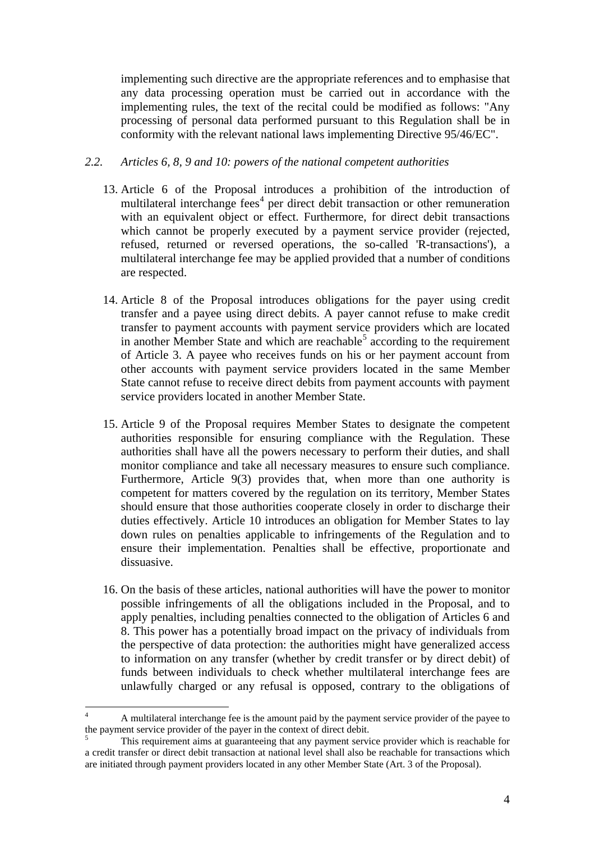implementing such directive are the appropriate references and to emphasise that any data processing operation must be carried out in accordance with the implementing rules, the text of the recital could be modified as follows: "Any processing of personal data performed pursuant to this Regulation shall be in conformity with the relevant national laws implementing Directive 95/46/EC".

#### *2.2. Articles 6, 8, 9 and 10: powers of the national competent authorities*

- 13. Article 6 of the Proposal introduces a prohibition of the introduction of multilateral interchange fees<sup>[4](#page-3-0)</sup> per direct debit transaction or other remuneration with an equivalent object or effect. Furthermore, for direct debit transactions which cannot be properly executed by a payment service provider (rejected, refused, returned or reversed operations, the so-called 'R-transactions'), a multilateral interchange fee may be applied provided that a number of conditions are respected.
- 14. Article 8 of the Proposal introduces obligations for the payer using credit transfer and a payee using direct debits. A payer cannot refuse to make credit transfer to payment accounts with payment service providers which are located in another Member State and which are reachable<sup>[5](#page-3-1)</sup> according to the requirement of Article 3. A payee who receives funds on his or her payment account from other accounts with payment service providers located in the same Member State cannot refuse to receive direct debits from payment accounts with payment service providers located in another Member State.
- 15. Article 9 of the Proposal requires Member States to designate the competent authorities responsible for ensuring compliance with the Regulation. These authorities shall have all the powers necessary to perform their duties, and shall monitor compliance and take all necessary measures to ensure such compliance. Furthermore, Article 9(3) provides that, when more than one authority is competent for matters covered by the regulation on its territory, Member States should ensure that those authorities cooperate closely in order to discharge their duties effectively. Article 10 introduces an obligation for Member States to lay down rules on penalties applicable to infringements of the Regulation and to ensure their implementation. Penalties shall be effective, proportionate and dissuasive.
- 16. On the basis of these articles, national authorities will have the power to monitor possible infringements of all the obligations included in the Proposal, and to apply penalties, including penalties connected to the obligation of Articles 6 and 8. This power has a potentially broad impact on the privacy of individuals from the perspective of data protection: the authorities might have generalized access to information on any transfer (whether by credit transfer or by direct debit) of funds between individuals to check whether multilateral interchange fees are unlawfully charged or any refusal is opposed, contrary to the obligations of

<u>.</u>

<span id="page-3-0"></span><sup>4</sup> A multilateral interchange fee is the amount paid by the payment service provider of the payee to the payment service provider of the payer in the context of direct debit.

<span id="page-3-1"></span>This requirement aims at guaranteeing that any payment service provider which is reachable for a credit transfer or direct debit transaction at national level shall also be reachable for transactions which are initiated through payment providers located in any other Member State (Art. 3 of the Proposal).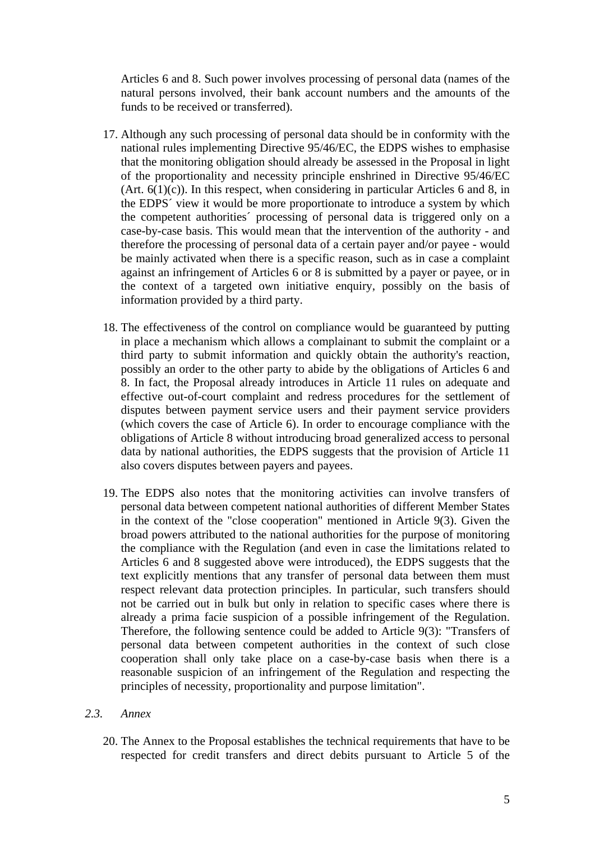Articles 6 and 8. Such power involves processing of personal data (names of the natural persons involved, their bank account numbers and the amounts of the funds to be received or transferred).

- 17. Although any such processing of personal data should be in conformity with the national rules implementing Directive 95/46/EC, the EDPS wishes to emphasise that the monitoring obligation should already be assessed in the Proposal in light of the proportionality and necessity principle enshrined in Directive 95/46/EC  $(Art. 6(1)(c))$ . In this respect, when considering in particular Articles 6 and 8, in the EDPS´ view it would be more proportionate to introduce a system by which the competent authorities´ processing of personal data is triggered only on a case-by-case basis. This would mean that the intervention of the authority - and therefore the processing of personal data of a certain payer and/or payee - would be mainly activated when there is a specific reason, such as in case a complaint against an infringement of Articles 6 or 8 is submitted by a payer or payee, or in the context of a targeted own initiative enquiry, possibly on the basis of information provided by a third party.
- 18. The effectiveness of the control on compliance would be guaranteed by putting in place a mechanism which allows a complainant to submit the complaint or a third party to submit information and quickly obtain the authority's reaction, possibly an order to the other party to abide by the obligations of Articles 6 and 8. In fact, the Proposal already introduces in Article 11 rules on adequate and effective out-of-court complaint and redress procedures for the settlement of disputes between payment service users and their payment service providers (which covers the case of Article 6). In order to encourage compliance with the obligations of Article 8 without introducing broad generalized access to personal data by national authorities, the EDPS suggests that the provision of Article 11 also covers disputes between payers and payees.
- 19. The EDPS also notes that the monitoring activities can involve transfers of personal data between competent national authorities of different Member States in the context of the "close cooperation" mentioned in Article 9(3). Given the broad powers attributed to the national authorities for the purpose of monitoring the compliance with the Regulation (and even in case the limitations related to Articles 6 and 8 suggested above were introduced), the EDPS suggests that the text explicitly mentions that any transfer of personal data between them must respect relevant data protection principles. In particular, such transfers should not be carried out in bulk but only in relation to specific cases where there is already a prima facie suspicion of a possible infringement of the Regulation. Therefore, the following sentence could be added to Article 9(3): "Transfers of personal data between competent authorities in the context of such close cooperation shall only take place on a case-by-case basis when there is a reasonable suspicion of an infringement of the Regulation and respecting the principles of necessity, proportionality and purpose limitation".

#### *2.3. Annex*

20. The Annex to the Proposal establishes the technical requirements that have to be respected for credit transfers and direct debits pursuant to Article 5 of the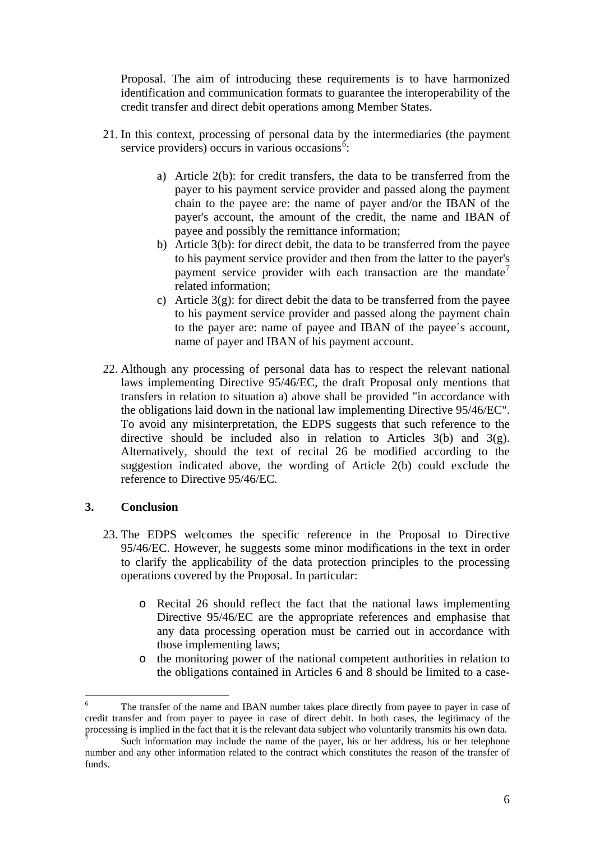Proposal. The aim of introducing these requirements is to have harmonized identification and communication formats to guarantee the interoperability of the credit transfer and direct debit operations among Member States.

- 21. In this context, processing of personal data by the intermediaries (the payment service providers) occurs in various occasions<sup> $\delta$ </sup>:
	- a) Article 2(b): for credit transfers, the data to be transferred from the payer to his payment service provider and passed along the payment chain to the payee are: the name of payer and/or the IBAN of the payer's account, the amount of the credit, the name and IBAN of payee and possibly the remittance information;
	- b) Article 3(b): for direct debit, the data to be transferred from the payee to his payment service provider and then from the latter to the payer's payment service provider with each transaction are the mandate<sup>[7](#page-5-1)</sup> related information;
	- c) Article  $3(g)$ : for direct debit the data to be transferred from the payee to his payment service provider and passed along the payment chain to the payer are: name of payee and IBAN of the payee´s account, name of payer and IBAN of his payment account.
- 22. Although any processing of personal data has to respect the relevant national laws implementing Directive 95/46/EC, the draft Proposal only mentions that transfers in relation to situation a) above shall be provided "in accordance with the obligations laid down in the national law implementing Directive 95/46/EC". To avoid any misinterpretation, the EDPS suggests that such reference to the directive should be included also in relation to Articles  $3(b)$  and  $3(g)$ . Alternatively, should the text of recital 26 be modified according to the suggestion indicated above, the wording of Article 2(b) could exclude the reference to Directive 95/46/EC.

## **3. Conclusion**

1

- 23. The EDPS welcomes the specific reference in the Proposal to Directive 95/46/EC. However, he suggests some minor modifications in the text in order to clarify the applicability of the data protection principles to the processing operations covered by the Proposal. In particular:
	- o Recital 26 should reflect the fact that the national laws implementing Directive 95/46/EC are the appropriate references and emphasise that any data processing operation must be carried out in accordance with those implementing laws;
	- o the monitoring power of the national competent authorities in relation to the obligations contained in Articles 6 and 8 should be limited to a case-

<span id="page-5-0"></span><sup>6</sup> The transfer of the name and IBAN number takes place directly from payee to payer in case of credit transfer and from payer to payee in case of direct debit. In both cases, the legitimacy of the processing is implied in the fact that it is the relevant data subject who voluntarily transmits his own data.

<span id="page-5-1"></span><sup>7</sup> Such information may include the name of the payer, his or her address, his or her telephone number and any other information related to the contract which constitutes the reason of the transfer of funds.